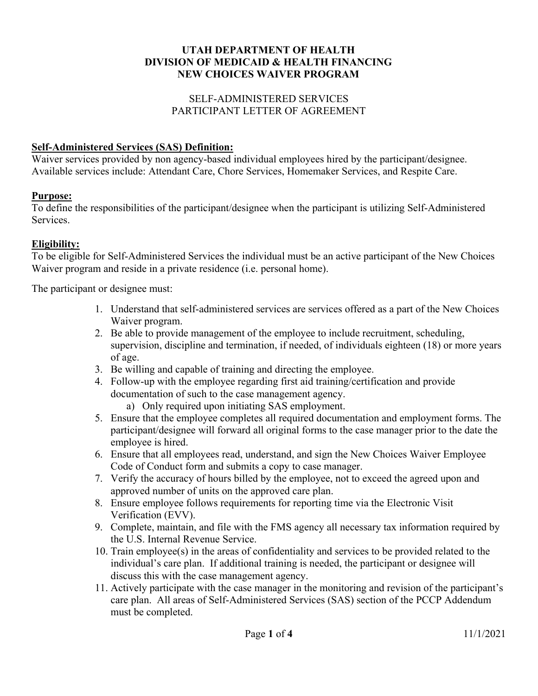### **UTAH DEPARTMENT OF HEALTH DIVISION OF MEDICAID & HEALTH FINANCING NEW CHOICES WAIVER PROGRAM**

#### SELF-ADMINISTERED SERVICES PARTICIPANT LETTER OF AGREEMENT

### **Self-Administered Services (SAS) Definition:**

Waiver services provided by non agency-based individual employees hired by the participant/designee. Available services include: Attendant Care, Chore Services, Homemaker Services, and Respite Care.

#### **Purpose:**

To define the responsibilities of the participant/designee when the participant is utilizing Self-Administered Services.

### **Eligibility:**

To be eligible for Self-Administered Services the individual must be an active participant of the New Choices Waiver program and reside in a private residence (i.e. personal home).

The participant or designee must:

- 1. Understand that self-administered services are services offered as a part of the New Choices Waiver program.
- 2. Be able to provide management of the employee to include recruitment, scheduling, supervision, discipline and termination, if needed, of individuals eighteen (18) or more years of age.
- 3. Be willing and capable of training and directing the employee.
- 4. Follow-up with the employee regarding first aid training/certification and provide documentation of such to the case management agency.
	- a) Only required upon initiating SAS employment.
- 5. Ensure that the employee completes all required documentation and employment forms. The participant/designee will forward all original forms to the case manager prior to the date the employee is hired.
- 6. Ensure that all employees read, understand, and sign the New Choices Waiver Employee Code of Conduct form and submits a copy to case manager.
- 7. Verify the accuracy of hours billed by the employee, not to exceed the agreed upon and approved number of units on the approved care plan.
- 8. Ensure employee follows requirements for reporting time via the Electronic Visit Verification (EVV).
- 9. Complete, maintain, and file with the FMS agency all necessary tax information required by the U.S. Internal Revenue Service.
- 10. Train employee(s) in the areas of confidentiality and services to be provided related to the individual's care plan. If additional training is needed, the participant or designee will discuss this with the case management agency.
- 11. Actively participate with the case manager in the monitoring and revision of the participant's care plan. All areas of Self-Administered Services (SAS) section of the PCCP Addendum must be completed.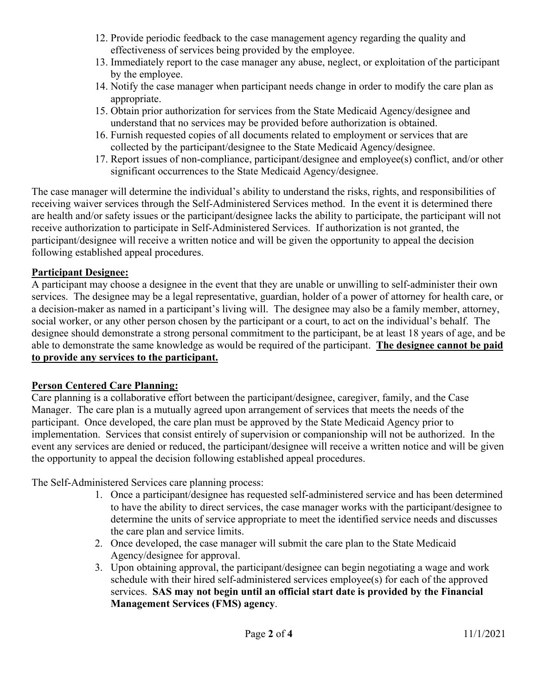- 12. Provide periodic feedback to the case management agency regarding the quality and effectiveness of services being provided by the employee.
- 13. Immediately report to the case manager any abuse, neglect, or exploitation of the participant by the employee.
- 14. Notify the case manager when participant needs change in order to modify the care plan as appropriate.
- 15. Obtain prior authorization for services from the State Medicaid Agency/designee and understand that no services may be provided before authorization is obtained.
- 16. Furnish requested copies of all documents related to employment or services that are collected by the participant/designee to the State Medicaid Agency/designee.
- 17. Report issues of non-compliance, participant/designee and employee(s) conflict, and/or other significant occurrences to the State Medicaid Agency/designee.

The case manager will determine the individual's ability to understand the risks, rights, and responsibilities of receiving waiver services through the Self-Administered Services method. In the event it is determined there are health and/or safety issues or the participant/designee lacks the ability to participate, the participant will not receive authorization to participate in Self-Administered Services. If authorization is not granted, the participant/designee will receive a written notice and will be given the opportunity to appeal the decision following established appeal procedures.

# **Participant Designee:**

A participant may choose a designee in the event that they are unable or unwilling to self-administer their own services. The designee may be a legal representative, guardian, holder of a power of attorney for health care, or a decision-maker as named in a participant's living will. The designee may also be a family member, attorney, social worker, or any other person chosen by the participant or a court, to act on the individual's behalf. The designee should demonstrate a strong personal commitment to the participant, be at least 18 years of age, and be able to demonstrate the same knowledge as would be required of the participant. **The designee cannot be paid to provide any services to the participant.** 

# **Person Centered Care Planning:**

Care planning is a collaborative effort between the participant/designee, caregiver, family, and the Case Manager. The care plan is a mutually agreed upon arrangement of services that meets the needs of the participant. Once developed, the care plan must be approved by the State Medicaid Agency prior to implementation. Services that consist entirely of supervision or companionship will not be authorized. In the event any services are denied or reduced, the participant/designee will receive a written notice and will be given the opportunity to appeal the decision following established appeal procedures.

The Self-Administered Services care planning process:

- 1. Once a participant/designee has requested self-administered service and has been determined to have the ability to direct services, the case manager works with the participant/designee to determine the units of service appropriate to meet the identified service needs and discusses the care plan and service limits.
- 2. Once developed, the case manager will submit the care plan to the State Medicaid Agency/designee for approval.
- 3. Upon obtaining approval, the participant/designee can begin negotiating a wage and work schedule with their hired self-administered services employee(s) for each of the approved services. **SAS may not begin until an official start date is provided by the Financial Management Services (FMS) agency**.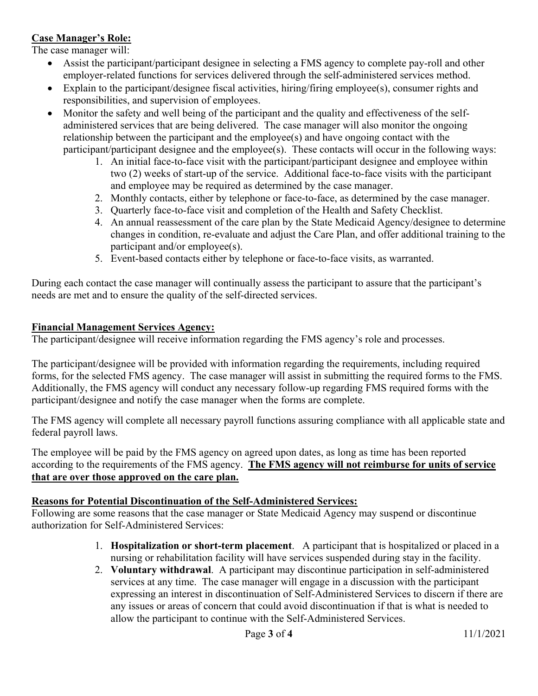## **Case Manager's Role:**

The case manager will:

- Assist the participant/participant designee in selecting a FMS agency to complete pay-roll and other employer-related functions for services delivered through the self-administered services method.
- Explain to the participant/designee fiscal activities, hiring/firing employee(s), consumer rights and responsibilities, and supervision of employees.
- Monitor the safety and well being of the participant and the quality and effectiveness of the selfadministered services that are being delivered. The case manager will also monitor the ongoing relationship between the participant and the employee(s) and have ongoing contact with the participant/participant designee and the employee(s). These contacts will occur in the following ways:
	- 1. An initial face-to-face visit with the participant/participant designee and employee within two (2) weeks of start-up of the service. Additional face-to-face visits with the participant and employee may be required as determined by the case manager.
	- 2. Monthly contacts, either by telephone or face-to-face, as determined by the case manager.
	- 3. Quarterly face-to-face visit and completion of the Health and Safety Checklist.
	- 4. An annual reassessment of the care plan by the State Medicaid Agency/designee to determine changes in condition, re-evaluate and adjust the Care Plan, and offer additional training to the participant and/or employee(s).
	- 5. Event-based contacts either by telephone or face-to-face visits, as warranted.

During each contact the case manager will continually assess the participant to assure that the participant's needs are met and to ensure the quality of the self-directed services.

# **Financial Management Services Agency:**

The participant/designee will receive information regarding the FMS agency's role and processes.

The participant/designee will be provided with information regarding the requirements, including required forms, for the selected FMS agency. The case manager will assist in submitting the required forms to the FMS. Additionally, the FMS agency will conduct any necessary follow-up regarding FMS required forms with the participant/designee and notify the case manager when the forms are complete.

The FMS agency will complete all necessary payroll functions assuring compliance with all applicable state and federal payroll laws.

The employee will be paid by the FMS agency on agreed upon dates, as long as time has been reported according to the requirements of the FMS agency. **The FMS agency will not reimburse for units of service that are over those approved on the care plan.**

## **Reasons for Potential Discontinuation of the Self-Administered Services:**

Following are some reasons that the case manager or State Medicaid Agency may suspend or discontinue authorization for Self-Administered Services:

- 1. **Hospitalization or short-term placement**. A participant that is hospitalized or placed in a nursing or rehabilitation facility will have services suspended during stay in the facility.
- 2. **Voluntary withdrawal**. A participant may discontinue participation in self-administered services at any time. The case manager will engage in a discussion with the participant expressing an interest in discontinuation of Self-Administered Services to discern if there are any issues or areas of concern that could avoid discontinuation if that is what is needed to allow the participant to continue with the Self-Administered Services.